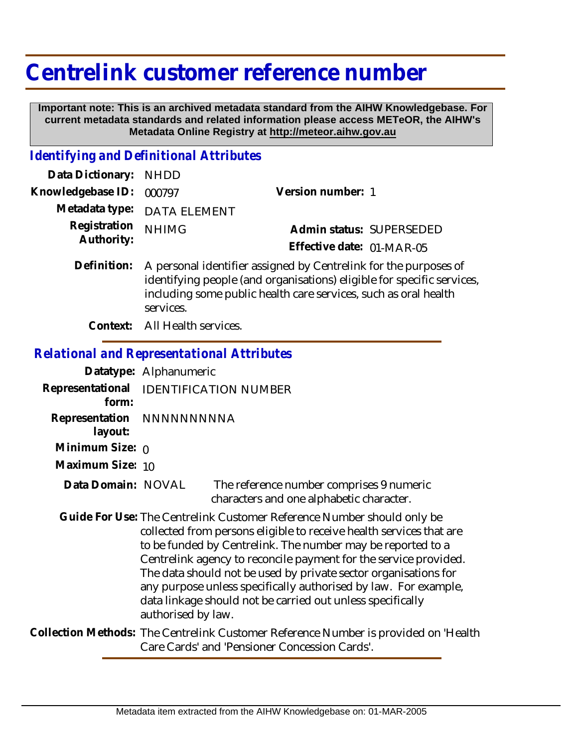## **Centrelink customer reference number**

 **Important note: This is an archived metadata standard from the AIHW Knowledgebase. For current metadata standards and related information please access METeOR, the AIHW's Metadata Online Registry at http://meteor.aihw.gov.au**

## *Identifying and Definitional Attributes*

| Data Dictionary: NHDD    |                             |                           |  |
|--------------------------|-----------------------------|---------------------------|--|
| Knowledgebase ID: 000797 |                             | Version number: 1         |  |
|                          | Metadata type: DATA ELEMENT |                           |  |
| Registration NHIMG       |                             | Admin status: SUPERSEDED  |  |
| Authority:               |                             | Effective date: 01-MAR-05 |  |
|                          |                             |                           |  |

Definition: A personal identifier assigned by Centrelink for the purposes of identifying people (and organisations) eligible for specific services, including some public health care services, such as oral health services.

**Context:** All Health services.

## *Relational and Representational Attributes*

|                           | Datatype: Alphanumeric                                                                                                                                                                                                                                                                                                                                                                                                                                                                                     |  |  |
|---------------------------|------------------------------------------------------------------------------------------------------------------------------------------------------------------------------------------------------------------------------------------------------------------------------------------------------------------------------------------------------------------------------------------------------------------------------------------------------------------------------------------------------------|--|--|
| Representational<br>form: | <b>IDENTIFICATION NUMBER</b>                                                                                                                                                                                                                                                                                                                                                                                                                                                                               |  |  |
| layout:                   | Representation NNNNNNNNNA                                                                                                                                                                                                                                                                                                                                                                                                                                                                                  |  |  |
| Minimum Size: $\rho$      |                                                                                                                                                                                                                                                                                                                                                                                                                                                                                                            |  |  |
| Maximum Size: 10          |                                                                                                                                                                                                                                                                                                                                                                                                                                                                                                            |  |  |
| Data Domain: NOVAL        | The reference number comprises 9 numeric<br>characters and one alphabetic character.                                                                                                                                                                                                                                                                                                                                                                                                                       |  |  |
|                           | Guide For Use: The Centrelink Customer Reference Number should only be<br>collected from persons eligible to receive health services that are<br>to be funded by Centrelink. The number may be reported to a<br>Centrelink agency to reconcile payment for the service provided.<br>The data should not be used by private sector organisations for<br>any purpose unless specifically authorised by law. For example,<br>data linkage should not be carried out unless specifically<br>authorised by law. |  |  |
|                           | Collection Methods: The Centrelink Customer Reference Number is provided on 'Health<br>Care Cards' and 'Pensioner Concession Cards'.                                                                                                                                                                                                                                                                                                                                                                       |  |  |